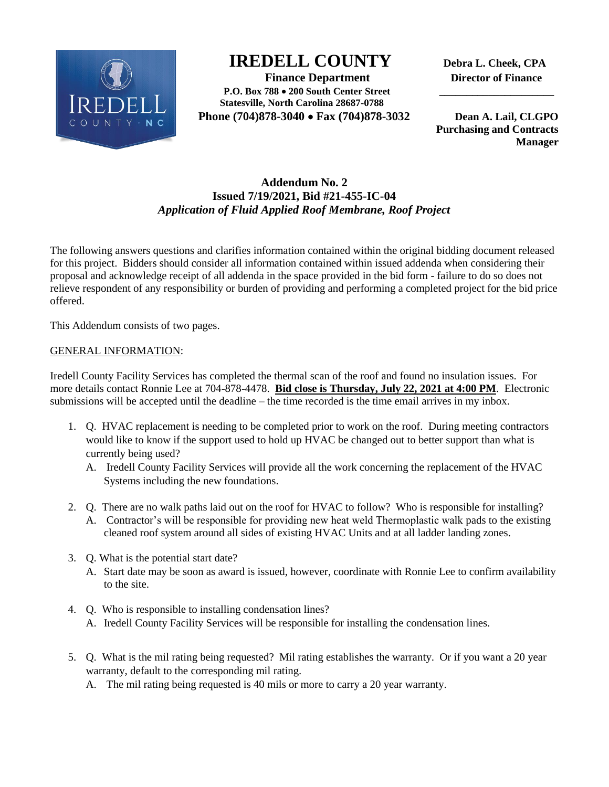

## **IREDELL COUNTY Debra L. Cheek, CPA**

 **Finance Department Director of Finance P.O. Box 788 200 South Center Street \_\_\_\_\_\_\_\_\_\_\_\_\_\_\_\_\_\_\_\_\_ Statesville, North Carolina 28687-0788 Phone (704)878-3040 Fax (704)878-3032 Dean A. Lail, CLGPO** 

 **Purchasing and Contracts Manager**

## **Addendum No. 2 Issued 7/19/2021, Bid #21-455-IC-04** *Application of Fluid Applied Roof Membrane, Roof Project*

The following answers questions and clarifies information contained within the original bidding document released for this project. Bidders should consider all information contained within issued addenda when considering their proposal and acknowledge receipt of all addenda in the space provided in the bid form - failure to do so does not relieve respondent of any responsibility or burden of providing and performing a completed project for the bid price offered.

This Addendum consists of two pages.

## GENERAL INFORMATION:

Iredell County Facility Services has completed the thermal scan of the roof and found no insulation issues. For more details contact Ronnie Lee at 704-878-4478. **Bid close is Thursday, July 22, 2021 at 4:00 PM**. Electronic submissions will be accepted until the deadline – the time recorded is the time email arrives in my inbox.

- 1. Q. HVAC replacement is needing to be completed prior to work on the roof. During meeting contractors would like to know if the support used to hold up HVAC be changed out to better support than what is currently being used?
	- A. Iredell County Facility Services will provide all the work concerning the replacement of the HVAC Systems including the new foundations.
- 2. Q. There are no walk paths laid out on the roof for HVAC to follow? Who is responsible for installing?
	- A. Contractor's will be responsible for providing new heat weld Thermoplastic walk pads to the existing cleaned roof system around all sides of existing HVAC Units and at all ladder landing zones.
- 3. Q. What is the potential start date?
	- A. Start date may be soon as award is issued, however, coordinate with Ronnie Lee to confirm availability to the site.
- 4. Q. Who is responsible to installing condensation lines? A. Iredell County Facility Services will be responsible for installing the condensation lines.
- 5. Q. What is the mil rating being requested? Mil rating establishes the warranty. Or if you want a 20 year warranty, default to the corresponding mil rating.
	- A. The mil rating being requested is 40 mils or more to carry a 20 year warranty.